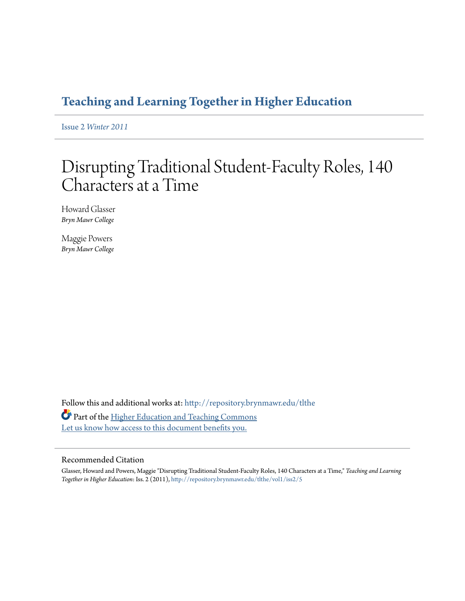# **[Teaching and Learning Together in Higher Education](http://repository.brynmawr.edu/tlthe?utm_source=repository.brynmawr.edu%2Ftlthe%2Fvol1%2Fiss2%2F5&utm_medium=PDF&utm_campaign=PDFCoverPages)**

Issue 2 *[Winter 2011](http://repository.brynmawr.edu/tlthe/vol1/iss2?utm_source=repository.brynmawr.edu%2Ftlthe%2Fvol1%2Fiss2%2F5&utm_medium=PDF&utm_campaign=PDFCoverPages)*

# Disrupting Traditional Student-Faculty Roles, 140 Characters at a Time

Howard Glasser *Bryn Mawr College*

Maggie Powers *Bryn Mawr College*

Follow this and additional works at: [http://repository.brynmawr.edu/tlthe](http://repository.brynmawr.edu/tlthe?utm_source=repository.brynmawr.edu%2Ftlthe%2Fvol1%2Fiss2%2F5&utm_medium=PDF&utm_campaign=PDFCoverPages) Part of the [Higher Education and Teaching Commons](http://network.bepress.com/hgg/discipline/806?utm_source=repository.brynmawr.edu%2Ftlthe%2Fvol1%2Fiss2%2F5&utm_medium=PDF&utm_campaign=PDFCoverPages) [Let us know how access to this document benefits you.](http://repository.brynmawr.edu/open-access-feedback.html)

#### Recommended Citation

Glasser, Howard and Powers, Maggie "Disrupting Traditional Student-Faculty Roles, 140 Characters at a Time," *Teaching and Learning Together in Higher Education*: Iss. 2 (2011), [http://repository.brynmawr.edu/tlthe/vol1/iss2/5](http://repository.brynmawr.edu/tlthe/vol1/iss2/5?utm_source=repository.brynmawr.edu%2Ftlthe%2Fvol1%2Fiss2%2F5&utm_medium=PDF&utm_campaign=PDFCoverPages)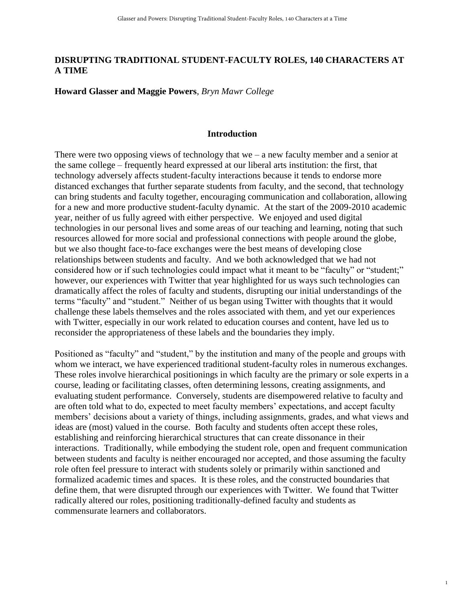### **DISRUPTING TRADITIONAL STUDENT-FACULTY ROLES, 140 CHARACTERS AT A TIME**

**Howard Glasser and Maggie Powers**, *Bryn Mawr College*

#### **Introduction**

There were two opposing views of technology that we – a new faculty member and a senior at the same college – frequently heard expressed at our liberal arts institution: the first, that technology adversely affects student-faculty interactions because it tends to endorse more distanced exchanges that further separate students from faculty, and the second, that technology can bring students and faculty together, encouraging communication and collaboration, allowing for a new and more productive student-faculty dynamic. At the start of the 2009-2010 academic year, neither of us fully agreed with either perspective. We enjoyed and used digital technologies in our personal lives and some areas of our teaching and learning, noting that such resources allowed for more social and professional connections with people around the globe, but we also thought face-to-face exchanges were the best means of developing close relationships between students and faculty. And we both acknowledged that we had not considered how or if such technologies could impact what it meant to be "faculty" or "student;" however, our experiences with Twitter that year highlighted for us ways such technologies can dramatically affect the roles of faculty and students, disrupting our initial understandings of the terms "faculty" and "student." Neither of us began using Twitter with thoughts that it would challenge these labels themselves and the roles associated with them, and yet our experiences with Twitter, especially in our work related to education courses and content, have led us to reconsider the appropriateness of these labels and the boundaries they imply.

Positioned as "faculty" and "student," by the institution and many of the people and groups with whom we interact, we have experienced traditional student-faculty roles in numerous exchanges. These roles involve hierarchical positionings in which faculty are the primary or sole experts in a course, leading or facilitating classes, often determining lessons, creating assignments, and evaluating student performance. Conversely, students are disempowered relative to faculty and are often told what to do, expected to meet faculty members' expectations, and accept faculty members' decisions about a variety of things, including assignments, grades, and what views and ideas are (most) valued in the course. Both faculty and students often accept these roles, establishing and reinforcing hierarchical structures that can create dissonance in their interactions. Traditionally, while embodying the student role, open and frequent communication between students and faculty is neither encouraged nor accepted, and those assuming the faculty role often feel pressure to interact with students solely or primarily within sanctioned and formalized academic times and spaces. It is these roles, and the constructed boundaries that define them, that were disrupted through our experiences with Twitter. We found that Twitter radically altered our roles, positioning traditionally-defined faculty and students as commensurate learners and collaborators.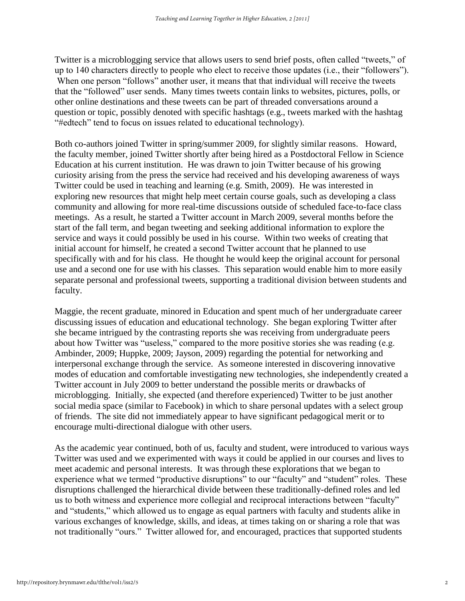Twitter is a microblogging service that allows users to send brief posts, often called "tweets," of up to 140 characters directly to people who elect to receive those updates (i.e., their "followers"). When one person "follows" another user, it means that that individual will receive the tweets that the "followed" user sends. Many times tweets contain links to websites, pictures, polls, or other online destinations and these tweets can be part of threaded conversations around a question or topic, possibly denoted with specific hashtags (e.g., tweets marked with the hashtag "#edtech" tend to focus on issues related to educational technology).

Both co-authors joined Twitter in spring/summer 2009, for slightly similar reasons. Howard, the faculty member, joined Twitter shortly after being hired as a Postdoctoral Fellow in Science Education at his current institution. He was drawn to join Twitter because of his growing curiosity arising from the press the service had received and his developing awareness of ways Twitter could be used in teaching and learning (e.g. Smith, 2009). He was interested in exploring new resources that might help meet certain course goals, such as developing a class community and allowing for more real-time discussions outside of scheduled face-to-face class meetings. As a result, he started a Twitter account in March 2009, several months before the start of the fall term, and began tweeting and seeking additional information to explore the service and ways it could possibly be used in his course. Within two weeks of creating that initial account for himself, he created a second Twitter account that he planned to use specifically with and for his class. He thought he would keep the original account for personal use and a second one for use with his classes. This separation would enable him to more easily separate personal and professional tweets, supporting a traditional division between students and faculty.

Maggie, the recent graduate, minored in Education and spent much of her undergraduate career discussing issues of education and educational technology. She began exploring Twitter after she became intrigued by the contrasting reports she was receiving from undergraduate peers about how Twitter was "useless," compared to the more positive stories she was reading (e.g. Ambinder, 2009; Huppke, 2009; Jayson, 2009) regarding the potential for networking and interpersonal exchange through the service. As someone interested in discovering innovative modes of education and comfortable investigating new technologies, she independently created a Twitter account in July 2009 to better understand the possible merits or drawbacks of microblogging. Initially, she expected (and therefore experienced) Twitter to be just another social media space (similar to Facebook) in which to share personal updates with a select group of friends. The site did not immediately appear to have significant pedagogical merit or to encourage multi-directional dialogue with other users.

As the academic year continued, both of us, faculty and student, were introduced to various ways Twitter was used and we experimented with ways it could be applied in our courses and lives to meet academic and personal interests. It was through these explorations that we began to experience what we termed "productive disruptions" to our "faculty" and "student" roles. These disruptions challenged the hierarchical divide between these traditionally-defined roles and led us to both witness and experience more collegial and reciprocal interactions between "faculty" and "students," which allowed us to engage as equal partners with faculty and students alike in various exchanges of knowledge, skills, and ideas, at times taking on or sharing a role that was not traditionally "ours." Twitter allowed for, and encouraged, practices that supported students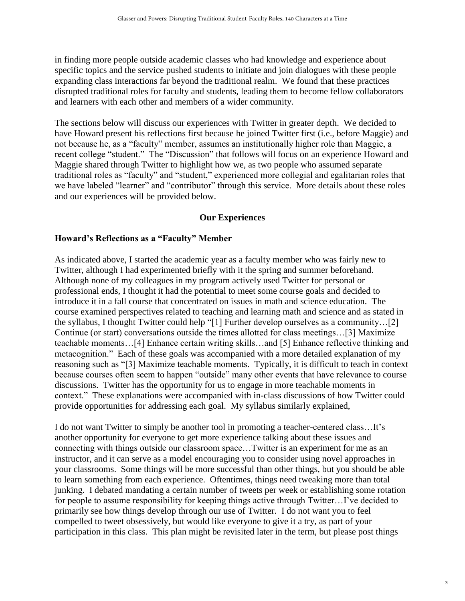in finding more people outside academic classes who had knowledge and experience about specific topics and the service pushed students to initiate and join dialogues with these people expanding class interactions far beyond the traditional realm. We found that these practices disrupted traditional roles for faculty and students, leading them to become fellow collaborators and learners with each other and members of a wider community.

The sections below will discuss our experiences with Twitter in greater depth. We decided to have Howard present his reflections first because he joined Twitter first (i.e., before Maggie) and not because he, as a "faculty" member, assumes an institutionally higher role than Maggie, a recent college "student." The "Discussion" that follows will focus on an experience Howard and Maggie shared through Twitter to highlight how we, as two people who assumed separate traditional roles as "faculty" and "student," experienced more collegial and egalitarian roles that we have labeled "learner" and "contributor" through this service. More details about these roles and our experiences will be provided below.

# **Our Experiences**

## **Howard's Reflections as a "Faculty" Member**

As indicated above, I started the academic year as a faculty member who was fairly new to Twitter, although I had experimented briefly with it the spring and summer beforehand. Although none of my colleagues in my program actively used Twitter for personal or professional ends, I thought it had the potential to meet some course goals and decided to introduce it in a fall course that concentrated on issues in math and science education. The course examined perspectives related to teaching and learning math and science and as stated in the syllabus, I thought Twitter could help "[1] Further develop ourselves as a community…[2] Continue (or start) conversations outside the times allotted for class meetings…[3] Maximize teachable moments…[4] Enhance certain writing skills…and [5] Enhance reflective thinking and metacognition." Each of these goals was accompanied with a more detailed explanation of my reasoning such as "[3] Maximize teachable moments. Typically, it is difficult to teach in context because courses often seem to happen "outside" many other events that have relevance to course discussions. Twitter has the opportunity for us to engage in more teachable moments in context." These explanations were accompanied with in-class discussions of how Twitter could provide opportunities for addressing each goal. My syllabus similarly explained,

I do not want Twitter to simply be another tool in promoting a teacher-centered class…It's another opportunity for everyone to get more experience talking about these issues and connecting with things outside our classroom space…Twitter is an experiment for me as an instructor, and it can serve as a model encouraging you to consider using novel approaches in your classrooms. Some things will be more successful than other things, but you should be able to learn something from each experience. Oftentimes, things need tweaking more than total junking. I debated mandating a certain number of tweets per week or establishing some rotation for people to assume responsibility for keeping things active through Twitter…I've decided to primarily see how things develop through our use of Twitter. I do not want you to feel compelled to tweet obsessively, but would like everyone to give it a try, as part of your participation in this class. This plan might be revisited later in the term, but please post things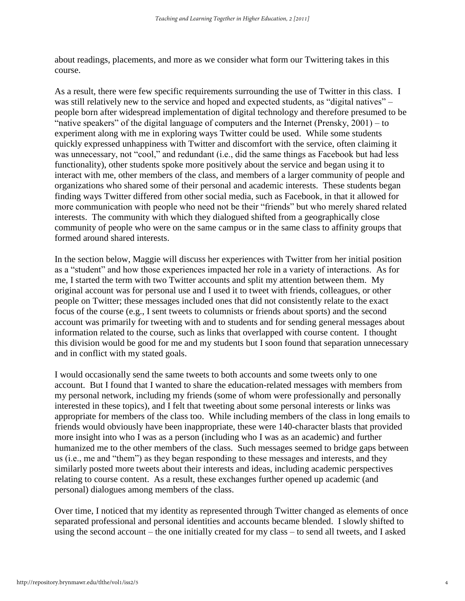about readings, placements, and more as we consider what form our Twittering takes in this course.

As a result, there were few specific requirements surrounding the use of Twitter in this class. I was still relatively new to the service and hoped and expected students, as "digital natives" – people born after widespread implementation of digital technology and therefore presumed to be "native speakers" of the digital language of computers and the Internet (Prensky, 2001) – to experiment along with me in exploring ways Twitter could be used. While some students quickly expressed unhappiness with Twitter and discomfort with the service, often claiming it was unnecessary, not "cool," and redundant (i.e., did the same things as Facebook but had less functionality), other students spoke more positively about the service and began using it to interact with me, other members of the class, and members of a larger community of people and organizations who shared some of their personal and academic interests. These students began finding ways Twitter differed from other social media, such as Facebook, in that it allowed for more communication with people who need not be their "friends" but who merely shared related interests. The community with which they dialogued shifted from a geographically close community of people who were on the same campus or in the same class to affinity groups that formed around shared interests.

In the section below, Maggie will discuss her experiences with Twitter from her initial position as a "student" and how those experiences impacted her role in a variety of interactions. As for me, I started the term with two Twitter accounts and split my attention between them. My original account was for personal use and I used it to tweet with friends, colleagues, or other people on Twitter; these messages included ones that did not consistently relate to the exact focus of the course (e.g., I sent tweets to columnists or friends about sports) and the second account was primarily for tweeting with and to students and for sending general messages about information related to the course, such as links that overlapped with course content. I thought this division would be good for me and my students but I soon found that separation unnecessary and in conflict with my stated goals.

I would occasionally send the same tweets to both accounts and some tweets only to one account. But I found that I wanted to share the education-related messages with members from my personal network, including my friends (some of whom were professionally and personally interested in these topics), and I felt that tweeting about some personal interests or links was appropriate for members of the class too. While including members of the class in long emails to friends would obviously have been inappropriate, these were 140-character blasts that provided more insight into who I was as a person (including who I was as an academic) and further humanized me to the other members of the class. Such messages seemed to bridge gaps between us (i.e., me and "them") as they began responding to these messages and interests, and they similarly posted more tweets about their interests and ideas, including academic perspectives relating to course content. As a result, these exchanges further opened up academic (and personal) dialogues among members of the class.

Over time, I noticed that my identity as represented through Twitter changed as elements of once separated professional and personal identities and accounts became blended. I slowly shifted to using the second account – the one initially created for my class – to send all tweets, and I asked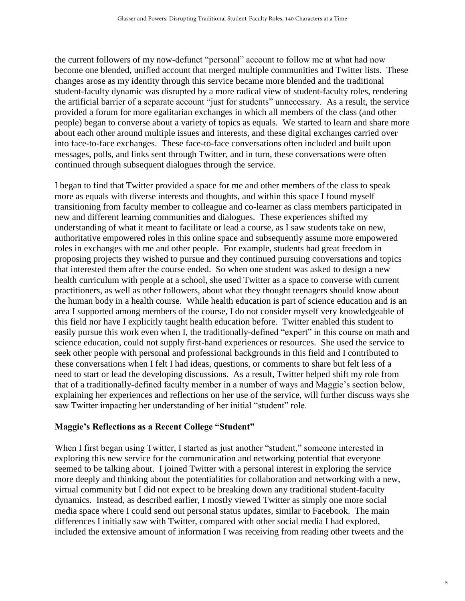the current followers of my now-defunct "personal" account to follow me at what had now become one blended, unified account that merged multiple communities and Twitter lists. These changes arose as my identity through this service became more blended and the traditional student-faculty dynamic was disrupted by a more radical view of student-faculty roles, rendering the artificial barrier of a separate account "just for students" unnecessary. As a result, the service provided a forum for more egalitarian exchanges in which all members of the class (and other people) began to converse about a variety of topics as equals. We started to learn and share more about each other around multiple issues and interests, and these digital exchanges carried over into face-to-face exchanges. These face-to-face conversations often included and built upon messages, polls, and links sent through Twitter, and in turn, these conversations were often continued through subsequent dialogues through the service.

I began to find that Twitter provided a space for me and other members of the class to speak more as equals with diverse interests and thoughts, and within this space I found myself transitioning from faculty member to colleague and co-learner as class members participated in new and different learning communities and dialogues. These experiences shifted my understanding of what it meant to facilitate or lead a course, as I saw students take on new, authoritative empowered roles in this online space and subsequently assume more empowered roles in exchanges with me and other people. For example, students had great freedom in proposing projects they wished to pursue and they continued pursuing conversations and topics that interested them after the course ended. So when one student was asked to design a new health curriculum with people at a school, she used Twitter as a space to converse with current practitioners, as well as other followers, about what they thought teenagers should know about the human body in a health course. While health education is part of science education and is an area I supported among members of the course, I do not consider myself very knowledgeable of this field nor have I explicitly taught health education before. Twitter enabled this student to easily pursue this work even when I, the traditionally-defined "expert" in this course on math and science education, could not supply first-hand experiences or resources. She used the service to seek other people with personal and professional backgrounds in this field and I contributed to these conversations when I felt I had ideas, questions, or comments to share but felt less of a need to start or lead the developing discussions. As a result, Twitter helped shift my role from that of a traditionally-defined faculty member in a number of ways and Maggie's section below, explaining her experiences and reflections on her use of the service, will further discuss ways she saw Twitter impacting her understanding of her initial "student" role.

### **Maggie's Reflections as a Recent College "Student"**

When I first began using Twitter, I started as just another "student," someone interested in exploring this new service for the communication and networking potential that everyone seemed to be talking about. I joined Twitter with a personal interest in exploring the service more deeply and thinking about the potentialities for collaboration and networking with a new, virtual community but I did not expect to be breaking down any traditional student-faculty dynamics. Instead, as described earlier, I mostly viewed Twitter as simply one more social media space where I could send out personal status updates, similar to Facebook. The main differences I initially saw with Twitter, compared with other social media I had explored, included the extensive amount of information I was receiving from reading other tweets and the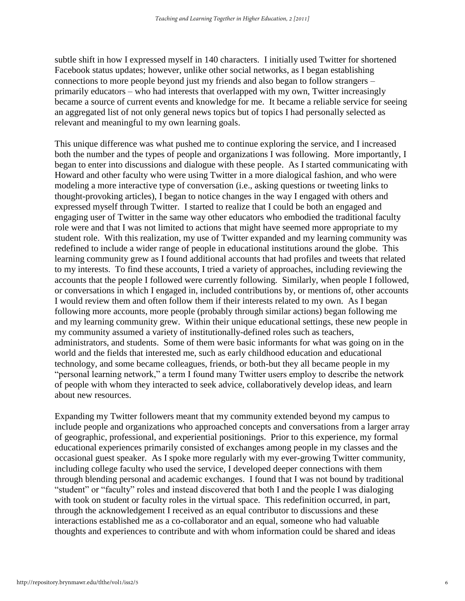subtle shift in how I expressed myself in 140 characters. I initially used Twitter for shortened Facebook status updates; however, unlike other social networks, as I began establishing connections to more people beyond just my friends and also began to follow strangers – primarily educators – who had interests that overlapped with my own, Twitter increasingly became a source of current events and knowledge for me. It became a reliable service for seeing an aggregated list of not only general news topics but of topics I had personally selected as relevant and meaningful to my own learning goals.

This unique difference was what pushed me to continue exploring the service, and I increased both the number and the types of people and organizations I was following. More importantly, I began to enter into discussions and dialogue with these people. As I started communicating with Howard and other faculty who were using Twitter in a more dialogical fashion, and who were modeling a more interactive type of conversation (i.e., asking questions or tweeting links to thought-provoking articles), I began to notice changes in the way I engaged with others and expressed myself through Twitter. I started to realize that I could be both an engaged and engaging user of Twitter in the same way other educators who embodied the traditional faculty role were and that I was not limited to actions that might have seemed more appropriate to my student role. With this realization, my use of Twitter expanded and my learning community was redefined to include a wider range of people in educational institutions around the globe. This learning community grew as I found additional accounts that had profiles and tweets that related to my interests. To find these accounts, I tried a variety of approaches, including reviewing the accounts that the people I followed were currently following. Similarly, when people I followed, or conversations in which I engaged in, included contributions by, or mentions of, other accounts I would review them and often follow them if their interests related to my own. As I began following more accounts, more people (probably through similar actions) began following me and my learning community grew. Within their unique educational settings, these new people in my community assumed a variety of institutionally-defined roles such as teachers, administrators, and students. Some of them were basic informants for what was going on in the world and the fields that interested me, such as early childhood education and educational technology, and some became colleagues, friends, or both-but they all became people in my "personal learning network," a term I found many Twitter users employ to describe the network of people with whom they interacted to seek advice, collaboratively develop ideas, and learn about new resources.

Expanding my Twitter followers meant that my community extended beyond my campus to include people and organizations who approached concepts and conversations from a larger array of geographic, professional, and experiential positionings. Prior to this experience, my formal educational experiences primarily consisted of exchanges among people in my classes and the occasional guest speaker. As I spoke more regularly with my ever-growing Twitter community, including college faculty who used the service, I developed deeper connections with them through blending personal and academic exchanges. I found that I was not bound by traditional "student" or "faculty" roles and instead discovered that both I and the people I was dialoging with took on student or faculty roles in the virtual space. This redefinition occurred, in part, through the acknowledgement I received as an equal contributor to discussions and these interactions established me as a co-collaborator and an equal, someone who had valuable thoughts and experiences to contribute and with whom information could be shared and ideas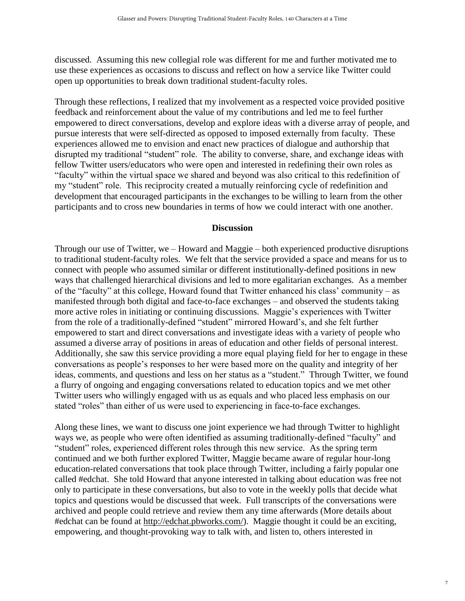discussed. Assuming this new collegial role was different for me and further motivated me to use these experiences as occasions to discuss and reflect on how a service like Twitter could open up opportunities to break down traditional student-faculty roles.

Through these reflections, I realized that my involvement as a respected voice provided positive feedback and reinforcement about the value of my contributions and led me to feel further empowered to direct conversations, develop and explore ideas with a diverse array of people, and pursue interests that were self-directed as opposed to imposed externally from faculty. These experiences allowed me to envision and enact new practices of dialogue and authorship that disrupted my traditional "student" role. The ability to converse, share, and exchange ideas with fellow Twitter users/educators who were open and interested in redefining their own roles as "faculty" within the virtual space we shared and beyond was also critical to this redefinition of my "student" role. This reciprocity created a mutually reinforcing cycle of redefinition and development that encouraged participants in the exchanges to be willing to learn from the other participants and to cross new boundaries in terms of how we could interact with one another.

### **Discussion**

Through our use of Twitter, we – Howard and Maggie – both experienced productive disruptions to traditional student-faculty roles. We felt that the service provided a space and means for us to connect with people who assumed similar or different institutionally-defined positions in new ways that challenged hierarchical divisions and led to more egalitarian exchanges. As a member of the "faculty" at this college, Howard found that Twitter enhanced his class' community – as manifested through both digital and face-to-face exchanges – and observed the students taking more active roles in initiating or continuing discussions. Maggie's experiences with Twitter from the role of a traditionally-defined "student" mirrored Howard's, and she felt further empowered to start and direct conversations and investigate ideas with a variety of people who assumed a diverse array of positions in areas of education and other fields of personal interest. Additionally, she saw this service providing a more equal playing field for her to engage in these conversations as people's responses to her were based more on the quality and integrity of her ideas, comments, and questions and less on her status as a "student." Through Twitter, we found a flurry of ongoing and engaging conversations related to education topics and we met other Twitter users who willingly engaged with us as equals and who placed less emphasis on our stated "roles" than either of us were used to experiencing in face-to-face exchanges.

Along these lines, we want to discuss one joint experience we had through Twitter to highlight ways we, as people who were often identified as assuming traditionally-defined "faculty" and "student" roles, experienced different roles through this new service. As the spring term continued and we both further explored Twitter, Maggie became aware of regular hour-long education-related conversations that took place through Twitter, including a fairly popular one called #edchat. She told Howard that anyone interested in talking about education was free not only to participate in these conversations, but also to vote in the weekly polls that decide what topics and questions would be discussed that week. Full transcripts of the conversations were archived and people could retrieve and review them any time afterwards (More details about #edchat can be found at [http://edchat.pbworks.com/\)](http://www.google.com/url?q=http%3A%2F%2Fedchat.pbworks.com%2F&sa=D&sntz=1&usg=AFQjCNHyYG2ig7GyG6g3jsME4KAiJMdINA). Maggie thought it could be an exciting, empowering, and thought-provoking way to talk with, and listen to, others interested in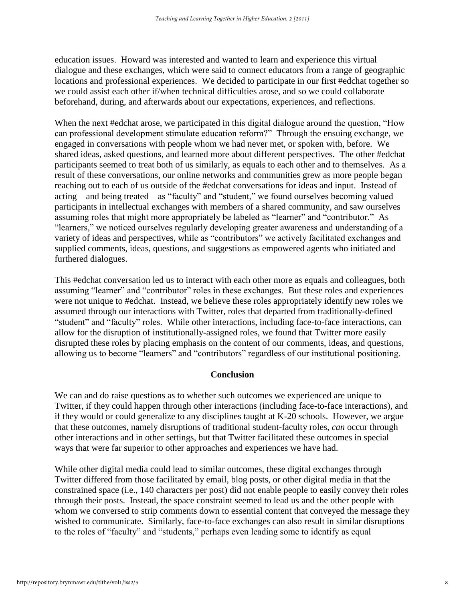education issues. Howard was interested and wanted to learn and experience this virtual dialogue and these exchanges, which were said to connect educators from a range of geographic locations and professional experiences. We decided to participate in our first #edchat together so we could assist each other if/when technical difficulties arose, and so we could collaborate beforehand, during, and afterwards about our expectations, experiences, and reflections.

When the next #edchat arose, we participated in this digital dialogue around the question, "How can professional development stimulate education reform?" Through the ensuing exchange, we engaged in conversations with people whom we had never met, or spoken with, before. We shared ideas, asked questions, and learned more about different perspectives. The other #edchat participants seemed to treat both of us similarly, as equals to each other and to themselves. As a result of these conversations, our online networks and communities grew as more people began reaching out to each of us outside of the #edchat conversations for ideas and input. Instead of acting – and being treated – as "faculty" and "student," we found ourselves becoming valued participants in intellectual exchanges with members of a shared community, and saw ourselves assuming roles that might more appropriately be labeled as "learner" and "contributor." As "learners," we noticed ourselves regularly developing greater awareness and understanding of a variety of ideas and perspectives, while as "contributors" we actively facilitated exchanges and supplied comments, ideas, questions, and suggestions as empowered agents who initiated and furthered dialogues.

This #edchat conversation led us to interact with each other more as equals and colleagues, both assuming "learner" and "contributor" roles in these exchanges. But these roles and experiences were not unique to #edchat. Instead, we believe these roles appropriately identify new roles we assumed through our interactions with Twitter, roles that departed from traditionally-defined "student" and "faculty" roles. While other interactions, including face-to-face interactions, can allow for the disruption of institutionally-assigned roles, we found that Twitter more easily disrupted these roles by placing emphasis on the content of our comments, ideas, and questions, allowing us to become "learners" and "contributors" regardless of our institutional positioning.

#### **Conclusion**

We can and do raise questions as to whether such outcomes we experienced are unique to Twitter, if they could happen through other interactions (including face-to-face interactions), and if they would or could generalize to any disciplines taught at K-20 schools. However, we argue that these outcomes, namely disruptions of traditional student-faculty roles, *can* occur through other interactions and in other settings, but that Twitter facilitated these outcomes in special ways that were far superior to other approaches and experiences we have had.

While other digital media could lead to similar outcomes, these digital exchanges through Twitter differed from those facilitated by email, blog posts, or other digital media in that the constrained space (i.e., 140 characters per post) did not enable people to easily convey their roles through their posts. Instead, the space constraint seemed to lead us and the other people with whom we conversed to strip comments down to essential content that conveyed the message they wished to communicate. Similarly, face-to-face exchanges can also result in similar disruptions to the roles of "faculty" and "students," perhaps even leading some to identify as equal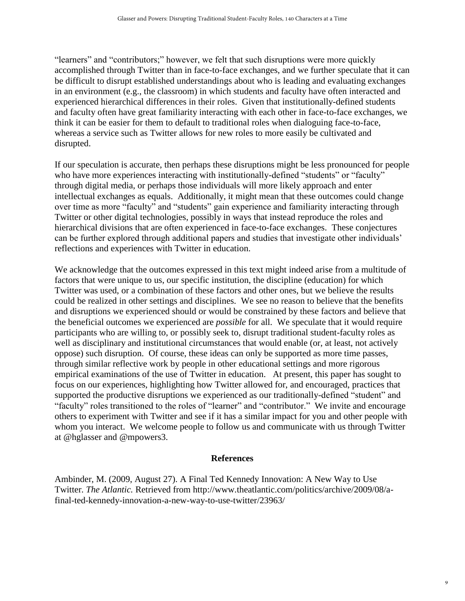"learners" and "contributors;" however, we felt that such disruptions were more quickly accomplished through Twitter than in face-to-face exchanges, and we further speculate that it can be difficult to disrupt established understandings about who is leading and evaluating exchanges in an environment (e.g., the classroom) in which students and faculty have often interacted and experienced hierarchical differences in their roles. Given that institutionally-defined students and faculty often have great familiarity interacting with each other in face-to-face exchanges, we think it can be easier for them to default to traditional roles when dialoguing face-to-face, whereas a service such as Twitter allows for new roles to more easily be cultivated and disrupted.

If our speculation is accurate, then perhaps these disruptions might be less pronounced for people who have more experiences interacting with institutionally-defined "students" or "faculty" through digital media, or perhaps those individuals will more likely approach and enter intellectual exchanges as equals. Additionally, it might mean that these outcomes could change over time as more "faculty" and "students" gain experience and familiarity interacting through Twitter or other digital technologies, possibly in ways that instead reproduce the roles and hierarchical divisions that are often experienced in face-to-face exchanges. These conjectures can be further explored through additional papers and studies that investigate other individuals' reflections and experiences with Twitter in education.

We acknowledge that the outcomes expressed in this text might indeed arise from a multitude of factors that were unique to us, our specific institution, the discipline (education) for which Twitter was used, or a combination of these factors and other ones, but we believe the results could be realized in other settings and disciplines. We see no reason to believe that the benefits and disruptions we experienced should or would be constrained by these factors and believe that the beneficial outcomes we experienced are *possible* for all. We speculate that it would require participants who are willing to, or possibly seek to, disrupt traditional student-faculty roles as well as disciplinary and institutional circumstances that would enable (or, at least, not actively oppose) such disruption. Of course, these ideas can only be supported as more time passes, through similar reflective work by people in other educational settings and more rigorous empirical examinations of the use of Twitter in education. At present, this paper has sought to focus on our experiences, highlighting how Twitter allowed for, and encouraged, practices that supported the productive disruptions we experienced as our traditionally-defined "student" and "faculty" roles transitioned to the roles of "learner" and "contributor." We invite and encourage others to experiment with Twitter and see if it has a similar impact for you and other people with whom you interact. We welcome people to follow us and communicate with us through Twitter at @hglasser and @mpowers3.

### **References**

Ambinder, M. (2009, August 27). A Final Ted Kennedy Innovation: A New Way to Use Twitter. *The Atlantic.* Retrieved from http://www.theatlantic.com/politics/archive/2009/08/afinal-ted-kennedy-innovation-a-new-way-to-use-twitter/23963/